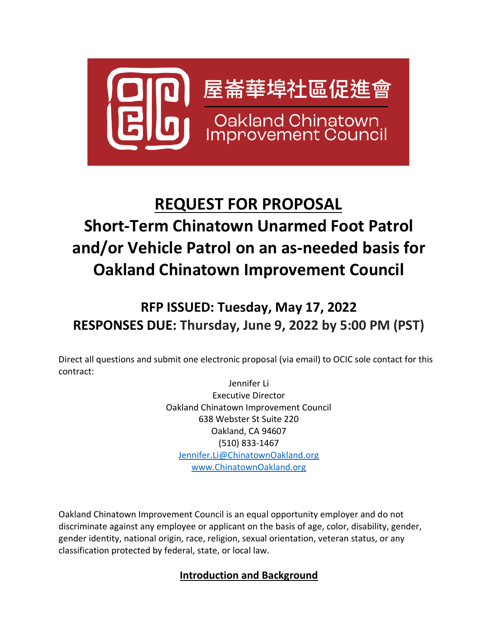

# **REQUEST FOR PROPOSAL Short-Term Chinatown Unarmed Foot Patrol and/or Vehicle Patrol on an as-needed basis for Oakland Chinatown Improvement Council**

## **RFP ISSUED: Tuesday, May 17, 2022 RESPONSES DUE: Thursday, June 9, 2022 by 5:00 PM (PST)**

Direct all questions and submit one electronic proposal (via email) to OCIC sole contact for this contract:

> Jennifer Li Executive Director Oakland Chinatown Improvement Council 638 Webster St Suite 220 Oakland, CA 94607 (510) 833-1467 [Jennifer.Li@ChinatownOakland.org](mailto:Jennifer.Li@ChinatownOakland.org) [www.ChinatownOakland.org](http://www.chinatownoakland.org/)

Oakland Chinatown Improvement Council is an equal opportunity employer and do not discriminate against any employee or applicant on the basis of age, color, disability, gender, gender identity, national origin, race, religion, sexual orientation, veteran status, or any classification protected by federal, state, or local law.

## **Introduction and Background**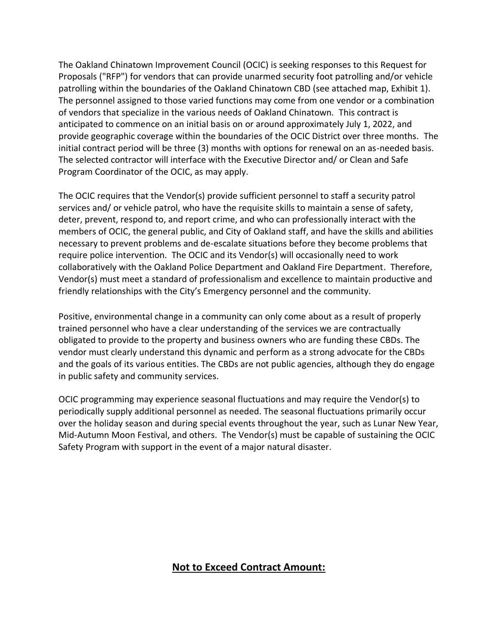The Oakland Chinatown Improvement Council (OCIC) is seeking responses to this Request for Proposals ("RFP") for vendors that can provide unarmed security foot patrolling and/or vehicle patrolling within the boundaries of the Oakland Chinatown CBD (see attached map, Exhibit 1). The personnel assigned to those varied functions may come from one vendor or a combination of vendors that specialize in the various needs of Oakland Chinatown. This contract is anticipated to commence on an initial basis on or around approximately July 1, 2022, and provide geographic coverage within the boundaries of the OCIC District over three months. The initial contract period will be three (3) months with options for renewal on an as-needed basis. The selected contractor will interface with the Executive Director and/ or Clean and Safe Program Coordinator of the OCIC, as may apply.

The OCIC requires that the Vendor(s) provide sufficient personnel to staff a security patrol services and/ or vehicle patrol, who have the requisite skills to maintain a sense of safety, deter, prevent, respond to, and report crime, and who can professionally interact with the members of OCIC, the general public, and City of Oakland staff, and have the skills and abilities necessary to prevent problems and de-escalate situations before they become problems that require police intervention. The OCIC and its Vendor(s) will occasionally need to work collaboratively with the Oakland Police Department and Oakland Fire Department. Therefore, Vendor(s) must meet a standard of professionalism and excellence to maintain productive and friendly relationships with the City's Emergency personnel and the community.

Positive, environmental change in a community can only come about as a result of properly trained personnel who have a clear understanding of the services we are contractually obligated to provide to the property and business owners who are funding these CBDs. The vendor must clearly understand this dynamic and perform as a strong advocate for the CBDs and the goals of its various entities. The CBDs are not public agencies, although they do engage in public safety and community services.

OCIC programming may experience seasonal fluctuations and may require the Vendor(s) to periodically supply additional personnel as needed. The seasonal fluctuations primarily occur over the holiday season and during special events throughout the year, such as Lunar New Year, Mid-Autumn Moon Festival, and others. The Vendor(s) must be capable of sustaining the OCIC Safety Program with support in the event of a major natural disaster.

### **Not to Exceed Contract Amount:**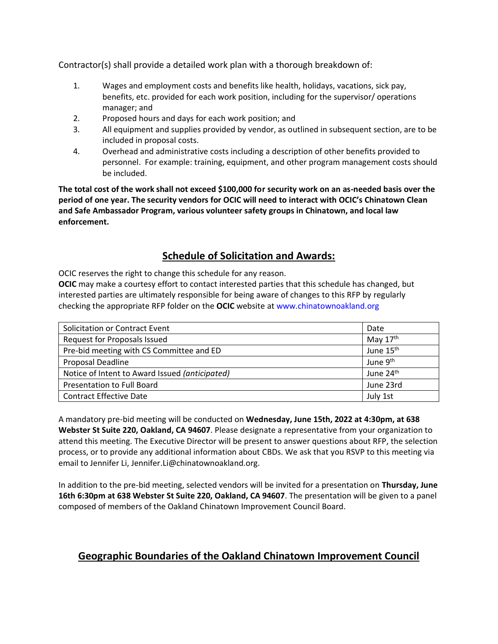Contractor(s) shall provide a detailed work plan with a thorough breakdown of:

- 1. Wages and employment costs and benefits like health, holidays, vacations, sick pay, benefits, etc. provided for each work position, including for the supervisor/ operations manager; and
- 2. Proposed hours and days for each work position; and
- 3. All equipment and supplies provided by vendor, as outlined in subsequent section, are to be included in proposal costs.
- 4. Overhead and administrative costs including a description of other benefits provided to personnel. For example: training, equipment, and other program management costs should be included.

**The total cost of the work shall not exceed \$100,000 for security work on an as-needed basis over the period of one year. The security vendors for OCIC will need to interact with OCIC's Chinatown Clean and Safe Ambassador Program, various volunteer safety groups in Chinatown, and local law enforcement.** 

## **Schedule of Solicitation and Awards:**

OCIC reserves the right to change this schedule for any reason.

**OCIC** may make a courtesy effort to contact interested parties that this schedule has changed, but interested parties are ultimately responsible for being aware of changes to this RFP by regularly checking the appropriate RFP folder on the **OCIC** website at www.chinatownoakland.org

| Solicitation or Contract Event                 | Date                  |
|------------------------------------------------|-----------------------|
| Request for Proposals Issued                   | May 17th              |
| Pre-bid meeting with CS Committee and ED       | June 15 <sup>th</sup> |
| Proposal Deadline                              | June 9 <sup>th</sup>  |
| Notice of Intent to Award Issued (anticipated) | June 24 <sup>th</sup> |
| Presentation to Full Board                     | June 23rd             |
| <b>Contract Effective Date</b>                 | July 1st              |

A mandatory pre-bid meeting will be conducted on **Wednesday, June 15th, 2022 at 4:30pm, at 638 Webster St Suite 220, Oakland, CA 94607**. Please designate a representative from your organization to attend this meeting. The Executive Director will be present to answer questions about RFP, the selection process, or to provide any additional information about CBDs. We ask that you RSVP to this meeting via email to Jennifer Li, Jennifer.Li@chinatownoakland.org.

In addition to the pre-bid meeting, selected vendors will be invited for a presentation on **Thursday, June 16th 6:30pm at 638 Webster St Suite 220, Oakland, CA 94607**. The presentation will be given to a panel composed of members of the Oakland Chinatown Improvement Council Board.

## **Geographic Boundaries of the Oakland Chinatown Improvement Council**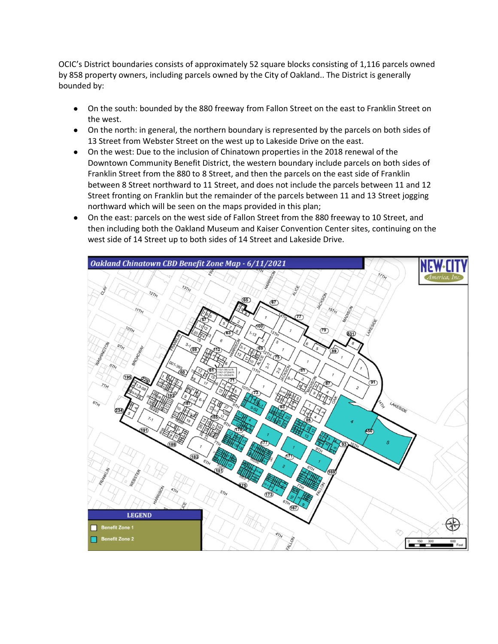OCIC's District boundaries consists of approximately 52 square blocks consisting of 1,116 parcels owned by 858 property owners, including parcels owned by the City of Oakland.. The District is generally bounded by:

- On the south: bounded by the 880 freeway from Fallon Street on the east to Franklin Street on the west.
- On the north: in general, the northern boundary is represented by the parcels on both sides of 13 Street from Webster Street on the west up to Lakeside Drive on the east.
- On the west: Due to the inclusion of Chinatown properties in the 2018 renewal of the Downtown Community Benefit District, the western boundary include parcels on both sides of Franklin Street from the 880 to 8 Street, and then the parcels on the east side of Franklin between 8 Street northward to 11 Street, and does not include the parcels between 11 and 12 Street fronting on Franklin but the remainder of the parcels between 11 and 13 Street jogging northward which will be seen on the maps provided in this plan;
- On the east: parcels on the west side of Fallon Street from the 880 freeway to 10 Street, and then including both the Oakland Museum and Kaiser Convention Center sites, continuing on the west side of 14 Street up to both sides of 14 Street and Lakeside Drive.

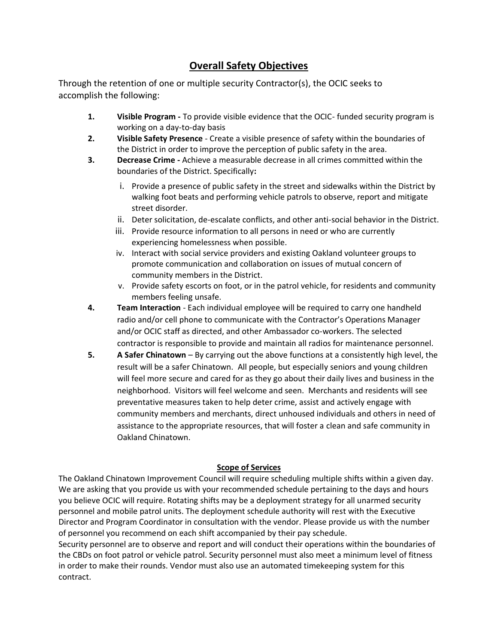## **Overall Safety Objectives**

Through the retention of one or multiple security Contractor(s), the OCIC seeks to accomplish the following:

- **1. Visible Program -** To provide visible evidence that the OCIC- funded security program is working on a day-to-day basis
- **2. Visible Safety Presence** Create a visible presence of safety within the boundaries of the District in order to improve the perception of public safety in the area.
- **3. Decrease Crime -** Achieve a measurable decrease in all crimes committed within the boundaries of the District. Specifically**:**
	- i. Provide a presence of public safety in the street and sidewalks within the District by walking foot beats and performing vehicle patrols to observe, report and mitigate street disorder.
	- ii. Deter solicitation, de-escalate conflicts, and other anti-social behavior in the District.
	- iii. Provide resource information to all persons in need or who are currently experiencing homelessness when possible.
	- iv. Interact with social service providers and existing Oakland volunteer groups to promote communication and collaboration on issues of mutual concern of community members in the District.
	- v. Provide safety escorts on foot, or in the patrol vehicle, for residents and community members feeling unsafe.
- **4. Team Interaction** Each individual employee will be required to carry one handheld radio and/or cell phone to communicate with the Contractor's Operations Manager and/or OCIC staff as directed, and other Ambassador co-workers. The selected contractor is responsible to provide and maintain all radios for maintenance personnel.
- **5. A Safer Chinatown**  By carrying out the above functions at a consistently high level, the result will be a safer Chinatown. All people, but especially seniors and young children will feel more secure and cared for as they go about their daily lives and business in the neighborhood. Visitors will feel welcome and seen. Merchants and residents will see preventative measures taken to help deter crime, assist and actively engage with community members and merchants, direct unhoused individuals and others in need of assistance to the appropriate resources, that will foster a clean and safe community in Oakland Chinatown.

#### **Scope of Services**

The Oakland Chinatown Improvement Council will require scheduling multiple shifts within a given day. We are asking that you provide us with your recommended schedule pertaining to the days and hours you believe OCIC will require. Rotating shifts may be a deployment strategy for all unarmed security personnel and mobile patrol units. The deployment schedule authority will rest with the Executive Director and Program Coordinator in consultation with the vendor. Please provide us with the number of personnel you recommend on each shift accompanied by their pay schedule.

Security personnel are to observe and report and will conduct their operations within the boundaries of the CBDs on foot patrol or vehicle patrol. Security personnel must also meet a minimum level of fitness in order to make their rounds. Vendor must also use an automated timekeeping system for this contract.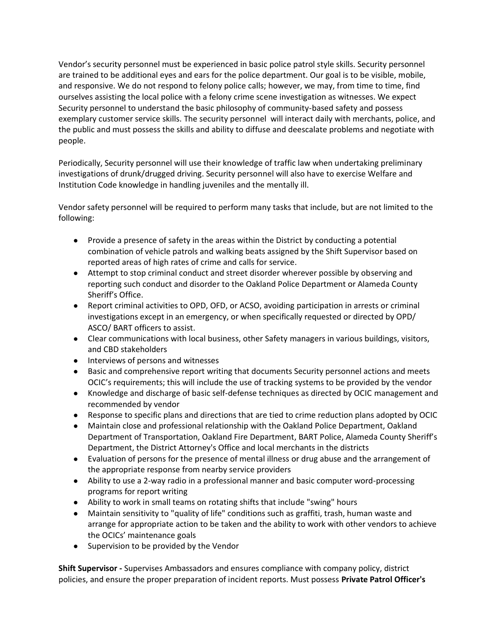Vendor's security personnel must be experienced in basic police patrol style skills. Security personnel are trained to be additional eyes and ears for the police department. Our goal is to be visible, mobile, and responsive. We do not respond to felony police calls; however, we may, from time to time, find ourselves assisting the local police with a felony crime scene investigation as witnesses. We expect Security personnel to understand the basic philosophy of community-based safety and possess exemplary customer service skills. The security personnel will interact daily with merchants, police, and the public and must possess the skills and ability to diffuse and deescalate problems and negotiate with people.

Periodically, Security personnel will use their knowledge of traffic law when undertaking preliminary investigations of drunk/drugged driving. Security personnel will also have to exercise Welfare and Institution Code knowledge in handling juveniles and the mentally ill.

Vendor safety personnel will be required to perform many tasks that include, but are not limited to the following:

- Provide a presence of safety in the areas within the District by conducting a potential combination of vehicle patrols and walking beats assigned by the Shift Supervisor based on reported areas of high rates of crime and calls for service.
- Attempt to stop criminal conduct and street disorder wherever possible by observing and reporting such conduct and disorder to the Oakland Police Department or Alameda County Sheriff's Office.
- Report criminal activities to OPD, OFD, or ACSO, avoiding participation in arrests or criminal investigations except in an emergency, or when specifically requested or directed by OPD/ ASCO/ BART officers to assist.
- Clear communications with local business, other Safety managers in various buildings, visitors, and CBD stakeholders
- Interviews of persons and witnesses
- Basic and comprehensive report writing that documents Security personnel actions and meets OCIC's requirements; this will include the use of tracking systems to be provided by the vendor
- Knowledge and discharge of basic self-defense techniques as directed by OCIC management and recommended by vendor
- Response to specific plans and directions that are tied to crime reduction plans adopted by OCIC
- Maintain close and professional relationship with the Oakland Police Department, Oakland Department of Transportation, Oakland Fire Department, BART Police, Alameda County Sheriff's Department, the District Attorney's Office and local merchants in the districts
- Evaluation of persons for the presence of mental illness or drug abuse and the arrangement of the appropriate response from nearby service providers
- Ability to use a 2-way radio in a professional manner and basic computer word-processing programs for report writing
- Ability to work in small teams on rotating shifts that include "swing" hours
- Maintain sensitivity to "quality of life" conditions such as graffiti, trash, human waste and arrange for appropriate action to be taken and the ability to work with other vendors to achieve the OCICs' maintenance goals
- Supervision to be provided by the Vendor

**Shift Supervisor -** Supervises Ambassadors and ensures compliance with company policy, district policies, and ensure the proper preparation of incident reports. Must possess **Private Patrol Officer's**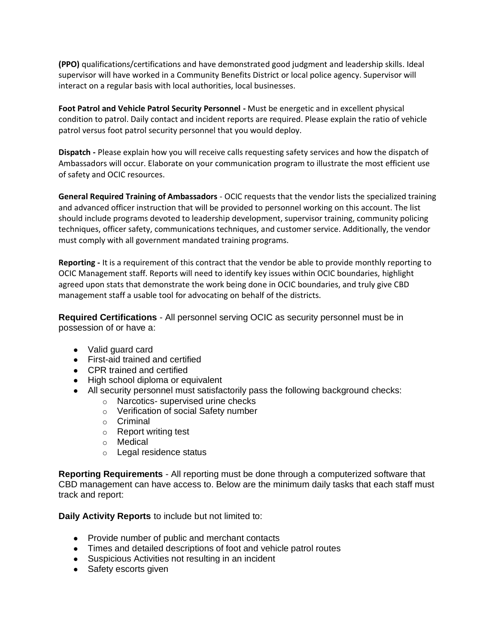**(PPO)** qualifications/certifications and have demonstrated good judgment and leadership skills. Ideal supervisor will have worked in a Community Benefits District or local police agency. Supervisor will interact on a regular basis with local authorities, local businesses.

**Foot Patrol and Vehicle Patrol Security Personnel -** Must be energetic and in excellent physical condition to patrol. Daily contact and incident reports are required. Please explain the ratio of vehicle patrol versus foot patrol security personnel that you would deploy.

**Dispatch -** Please explain how you will receive calls requesting safety services and how the dispatch of Ambassadors will occur. Elaborate on your communication program to illustrate the most efficient use of safety and OCIC resources.

**General Required Training of Ambassadors** - OCIC requests that the vendor lists the specialized training and advanced officer instruction that will be provided to personnel working on this account. The list should include programs devoted to leadership development, supervisor training, community policing techniques, officer safety, communications techniques, and customer service. Additionally, the vendor must comply with all government mandated training programs.

**Reporting -** It is a requirement of this contract that the vendor be able to provide monthly reporting to OCIC Management staff. Reports will need to identify key issues within OCIC boundaries, highlight agreed upon stats that demonstrate the work being done in OCIC boundaries, and truly give CBD management staff a usable tool for advocating on behalf of the districts.

**Required Certifications** - All personnel serving OCIC as security personnel must be in possession of or have a:

- Valid guard card
- First-aid trained and certified
- CPR trained and certified
- High school diploma or equivalent
- All security personnel must satisfactorily pass the following background checks:
	- o Narcotics- supervised urine checks
	- o Verification of social Safety number
	- o Criminal
	- o Report writing test
	- o Medical
	- o Legal residence status

**Reporting Requirements** - All reporting must be done through a computerized software that CBD management can have access to. Below are the minimum daily tasks that each staff must track and report:

**Daily Activity Reports** to include but not limited to:

- Provide number of public and merchant contacts
- Times and detailed descriptions of foot and vehicle patrol routes
- Suspicious Activities not resulting in an incident
- Safety escorts given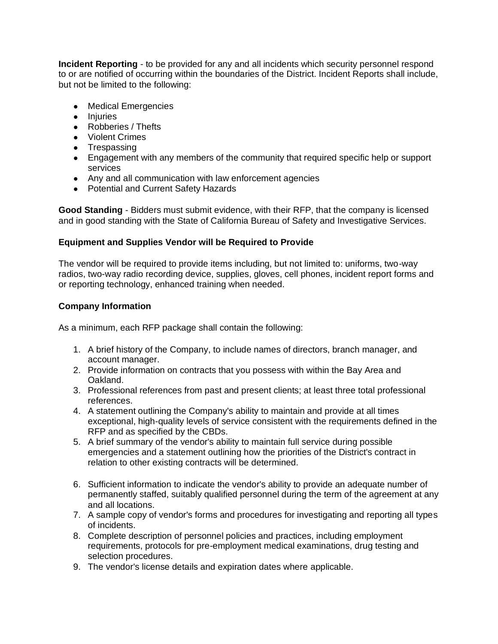**Incident Reporting** - to be provided for any and all incidents which security personnel respond to or are notified of occurring within the boundaries of the District. Incident Reports shall include, but not be limited to the following:

- Medical Emergencies
- Injuries
- Robberies / Thefts
- Violent Crimes
- Trespassing
- Engagement with any members of the community that required specific help or support services
- Any and all communication with law enforcement agencies
- Potential and Current Safety Hazards

**Good Standing** - Bidders must submit evidence, with their RFP, that the company is licensed and in good standing with the State of California Bureau of Safety and Investigative Services.

#### **Equipment and Supplies Vendor will be Required to Provide**

The vendor will be required to provide items including, but not limited to: uniforms, two-way radios, two-way radio recording device, supplies, gloves, cell phones, incident report forms and or reporting technology, enhanced training when needed.

#### **Company Information**

As a minimum, each RFP package shall contain the following:

- 1. A brief history of the Company, to include names of directors, branch manager, and account manager.
- 2. Provide information on contracts that you possess with within the Bay Area and Oakland.
- 3. Professional references from past and present clients; at least three total professional references.
- 4. A statement outlining the Company's ability to maintain and provide at all times exceptional, high-quality levels of service consistent with the requirements defined in the RFP and as specified by the CBDs.
- 5. A brief summary of the vendor's ability to maintain full service during possible emergencies and a statement outlining how the priorities of the District's contract in relation to other existing contracts will be determined.
- 6. Sufficient information to indicate the vendor's ability to provide an adequate number of permanently staffed, suitably qualified personnel during the term of the agreement at any and all locations.
- 7. A sample copy of vendor's forms and procedures for investigating and reporting all types of incidents.
- 8. Complete description of personnel policies and practices, including employment requirements, protocols for pre-employment medical examinations, drug testing and selection procedures.
- 9. The vendor's license details and expiration dates where applicable.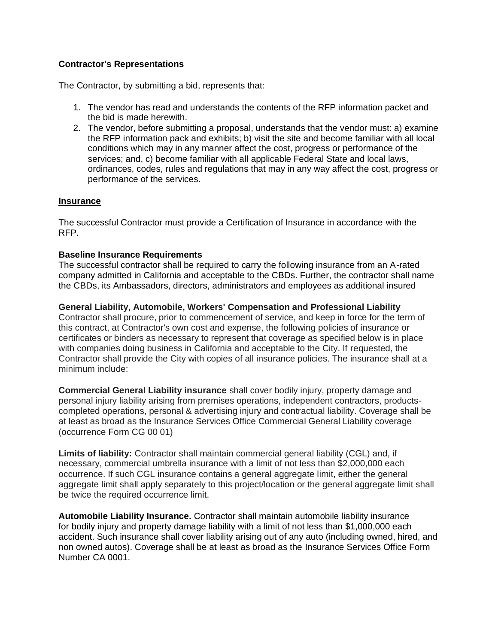#### **Contractor's Representations**

The Contractor, by submitting a bid, represents that:

- 1. The vendor has read and understands the contents of the RFP information packet and the bid is made herewith.
- 2. The vendor, before submitting a proposal, understands that the vendor must: a) examine the RFP information pack and exhibits; b) visit the site and become familiar with all local conditions which may in any manner affect the cost, progress or performance of the services; and, c) become familiar with all applicable Federal State and local laws, ordinances, codes, rules and regulations that may in any way affect the cost, progress or performance of the services.

#### **Insurance**

The successful Contractor must provide a Certification of Insurance in accordance with the RFP.

#### **Baseline Insurance Requirements**

The successful contractor shall be required to carry the following insurance from an A-rated company admitted in California and acceptable to the CBDs. Further, the contractor shall name the CBDs, its Ambassadors, directors, administrators and employees as additional insured

**General Liability, Automobile, Workers' Compensation and Professional Liability**  Contractor shall procure, prior to commencement of service, and keep in force for the term of this contract, at Contractor's own cost and expense, the following policies of insurance or certificates or binders as necessary to represent that coverage as specified below is in place with companies doing business in California and acceptable to the City. If requested, the Contractor shall provide the City with copies of all insurance policies. The insurance shall at a minimum include:

**Commercial General Liability insurance** shall cover bodily injury, property damage and personal injury liability arising from premises operations, independent contractors, productscompleted operations, personal & advertising injury and contractual liability. Coverage shall be at least as broad as the Insurance Services Office Commercial General Liability coverage (occurrence Form CG 00 01)

**Limits of liability:** Contractor shall maintain commercial general liability (CGL) and, if necessary, commercial umbrella insurance with a limit of not less than \$2,000,000 each occurrence. If such CGL insurance contains a general aggregate limit, either the general aggregate limit shall apply separately to this project/location or the general aggregate limit shall be twice the required occurrence limit.

**Automobile Liability Insurance.** Contractor shall maintain automobile liability insurance for bodily injury and property damage liability with a limit of not less than \$1,000,000 each accident. Such insurance shall cover liability arising out of any auto (including owned, hired, and non owned autos). Coverage shall be at least as broad as the Insurance Services Office Form Number CA 0001.